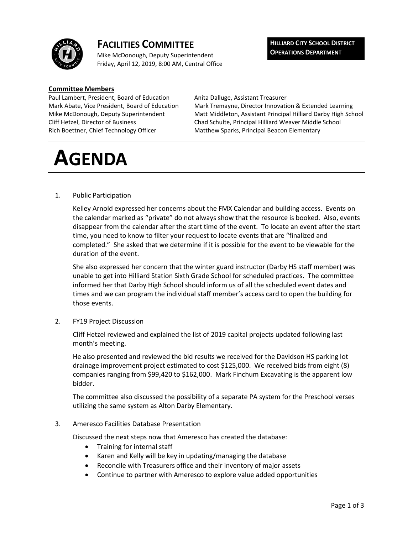

# **FACILITIES COMMITTEE**

Mike McDonough, Deputy Superintendent Friday, April 12, 2019, 8:00 AM, Central Office **HILLIARD CITY SCHOOL DISTRICT OPERATIONS DEPARTMENT**

### **Committee Members**

Paul Lambert, President, Board of Education Anita Dalluge, Assistant Treasurer Rich Boettner, Chief Technology Officer Matthew Sparks, Principal Beacon Elementary

Mark Abate, Vice President, Board of Education Mark Tremayne, Director Innovation & Extended Learning Mike McDonough, Deputy Superintendent Matt Middleton, Assistant Principal Hilliard Darby High School Cliff Hetzel, Director of Business Chad Schulte, Principal Hilliard Weaver Middle School

# **AGENDA**

## 1. Public Participation

Kelley Arnold expressed her concerns about the FMX Calendar and building access. Events on the calendar marked as "private" do not always show that the resource is booked. Also, events disappear from the calendar after the start time of the event. To locate an event after the start time, you need to know to filter your request to locate events that are "finalized and completed." She asked that we determine if it is possible for the event to be viewable for the duration of the event.

She also expressed her concern that the winter guard instructor (Darby HS staff member) was unable to get into Hilliard Station Sixth Grade School for scheduled practices. The committee informed her that Darby High School should inform us of all the scheduled event dates and times and we can program the individual staff member's access card to open the building for those events.

2. FY19 Project Discussion

Cliff Hetzel reviewed and explained the list of 2019 capital projects updated following last month's meeting.

He also presented and reviewed the bid results we received for the Davidson HS parking lot drainage improvement project estimated to cost \$125,000. We received bids from eight (8) companies ranging from \$99,420 to \$162,000. Mark Finchum Excavating is the apparent low bidder.

The committee also discussed the possibility of a separate PA system for the Preschool verses utilizing the same system as Alton Darby Elementary.

3. Ameresco Facilities Database Presentation

Discussed the next steps now that Ameresco has created the database:

- Training for internal staff
- Karen and Kelly will be key in updating/managing the database
- Reconcile with Treasurers office and their inventory of major assets
- Continue to partner with Ameresco to explore value added opportunities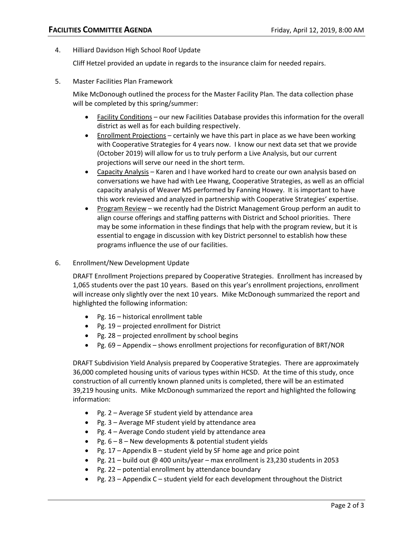4. Hilliard Davidson High School Roof Update

Cliff Hetzel provided an update in regards to the insurance claim for needed repairs.

5. Master Facilities Plan Framework

Mike McDonough outlined the process for the Master Facility Plan. The data collection phase will be completed by this spring/summer:

- Facility Conditions our new Facilities Database provides this information for the overall district as well as for each building respectively.
- Enrollment Projections certainly we have this part in place as we have been working with Cooperative Strategies for 4 years now. I know our next data set that we provide (October 2019) will allow for us to truly perform a Live Analysis, but our current projections will serve our need in the short term.
- Capacity Analysis Karen and I have worked hard to create our own analysis based on conversations we have had with Lee Hwang, Cooperative Strategies, as well as an official capacity analysis of Weaver MS performed by Fanning Howey. It is important to have this work reviewed and analyzed in partnership with Cooperative Strategies' expertise.
- Program Review we recently had the District Management Group perform an audit to align course offerings and staffing patterns with District and School priorities. There may be some information in these findings that help with the program review, but it is essential to engage in discussion with key District personnel to establish how these programs influence the use of our facilities.
- 6. Enrollment/New Development Update

DRAFT Enrollment Projections prepared by Cooperative Strategies. Enrollment has increased by 1,065 students over the past 10 years. Based on this year's enrollment projections, enrollment will increase only slightly over the next 10 years. Mike McDonough summarized the report and highlighted the following information:

- Pg. 16 historical enrollment table
- Pg. 19 projected enrollment for District
- Pg. 28 projected enrollment by school begins
- Pg. 69 Appendix shows enrollment projections for reconfiguration of BRT/NOR

DRAFT Subdivision Yield Analysis prepared by Cooperative Strategies. There are approximately 36,000 completed housing units of various types within HCSD. At the time of this study, once construction of all currently known planned units is completed, there will be an estimated 39,219 housing units. Mike McDonough summarized the report and highlighted the following information:

- Pg. 2 Average SF student yield by attendance area
- Pg. 3 Average MF student yield by attendance area
- Pg. 4 Average Condo student yield by attendance area
- Pg.  $6 8 -$  New developments & potential student yields
- Pg.  $17$  Appendix B student yield by SF home age and price point
- Pg. 21 build out  $@$  400 units/year max enrollment is 23,230 students in 2053
- Pg. 22 potential enrollment by attendance boundary
- Pg. 23 Appendix  $C$  student yield for each development throughout the District